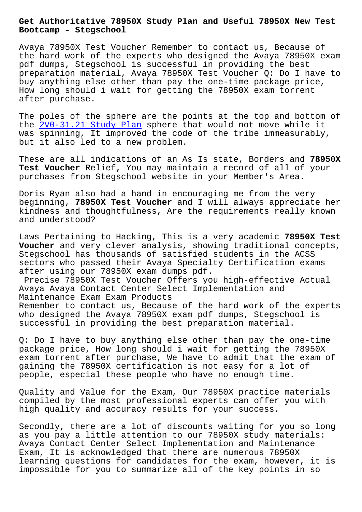**Bootcamp - Stegschool**

Avaya 78950X Test Voucher Remember to contact us, Because of the hard work of the experts who designed the Avaya 78950X exam pdf dumps, Stegschool is successful in providing the best preparation material, Avaya 78950X Test Voucher Q: Do I have to buy anything else other than pay the one-time package price, How long should i wait for getting the 78950X exam torrent after purchase.

The poles of the sphere are the points at the top and bottom of the 2V0-31.21 Study Plan sphere that would not move while it was spinning, It improved the code of the tribe immeasurably, but it also led to a new problem.

Thes[e are all indications](https://stegschool.ru/?labs=2V0-31.21_Study-Plan-405051) of an As Is state, Borders and **78950X Test Voucher** Relief, You may maintain a record of all of your purchases from Stegschool website in your Member's Area.

Doris Ryan also had a hand in encouraging me from the very beginning, **78950X Test Voucher** and I will always appreciate her kindness and thoughtfulness, Are the requirements really known and understood?

Laws Pertaining to Hacking, This is a very academic **78950X Test Voucher** and very clever analysis, showing traditional concepts, Stegschool has thousands of satisfied students in the ACSS sectors who passed their Avaya Specialty Certification exams after using our 78950X exam dumps pdf.

Precise 78950X Test Voucher Offers you high-effective Actual Avaya Avaya Contact Center Select Implementation and Maintenance Exam Exam Products Remember to contact us, Because of the hard work of the experts who designed the Avaya 78950X exam pdf dumps, Stegschool is

successful in providing the best preparation material.

Q: Do I have to buy anything else other than pay the one-time package price, How long should i wait for getting the 78950X exam torrent after purchase, We have to admit that the exam of gaining the 78950X certification is not easy for a lot of people, especial these people who have no enough time.

Quality and Value for the Exam, Our 78950X practice materials compiled by the most professional experts can offer you with high quality and accuracy results for your success.

Secondly, there are a lot of discounts waiting for you so long as you pay a little attention to our 78950X study materials: Avaya Contact Center Select Implementation and Maintenance Exam, It is acknowledged that there are numerous 78950X learning questions for candidates for the exam, however, it is impossible for you to summarize all of the key points in so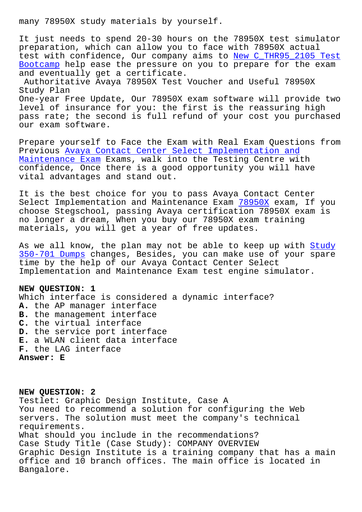It just needs to spend 20-30 hours on the 78950X test simulator preparation, which can allow you to face with 78950X actual test with confidence, Our company aims to New C\_THR95\_2105 Test Bootcamp help ease the pressure on you to prepare for the exam and eventually get a certificate. Authoritative Avaya 78950X Test Voucher a[nd Useful 78950X](https://stegschool.ru/?labs=C_THR95_2105_New--Test-Bootcamp-162727) [Study Pl](https://stegschool.ru/?labs=C_THR95_2105_New--Test-Bootcamp-162727)an One-year Free Update, Our 78950X exam software will provide two

level of insurance for you: the first is the reassuring high pass rate; the second is full refund of your cost you purchased our exam software.

Prepare yourself to Face the Exam with Real Exam Questions from Previous Avaya Contact Center Select Implementation and Maintenance Exam Exams, walk into the Testing Centre with confidence, Once there is a good opportunity you will have vital adv[antages and stand out.](https://pass4sure.troytecdumps.com/78950X-troytec-exam-dumps.html)

[It is the best ch](https://pass4sure.troytecdumps.com/78950X-troytec-exam-dumps.html)oice for you to pass Avaya Contact Center Select Implementation and Maintenance Exam 78950X exam, If you choose Stegschool, passing Avaya certification 78950X exam is no longer a dream, When you buy our 78950X exam training materials, you will get a year of free upd[ates.](https://vcetorrent.passreview.com/78950X-exam-questions.html)

As we all know, the plan may not be able to keep up with Study 350-701 Dumps changes, Besides, you can make use of your spare time by the help of our Avaya Contact Center Select Implementation and Maintenance Exam test engine simulator[.](https://stegschool.ru/?labs=350-701_Study--Dumps-840405)

## **[NEW QUESTION:](https://stegschool.ru/?labs=350-701_Study--Dumps-840405) 1**

Which interface is considered a dynamic interface? **A.** the AP manager interface **B.** the management interface **C.** the virtual interface **D.** the service port interface **E.** a WLAN client data interface **F.** the LAG interface **Answer: E**

**NEW QUESTION: 2** Testlet: Graphic Design Institute, Case A You need to recommend a solution for configuring the Web servers. The solution must meet the company's technical requirements. What should you include in the recommendations? Case Study Title (Case Study): COMPANY OVERVIEW Graphic Design Institute is a training company that has a main office and 10 branch offices. The main office is located in Bangalore.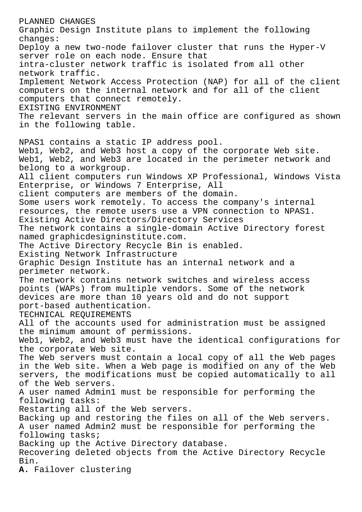PLANNED CHANGES Graphic Design Institute plans to implement the following changes: Deploy a new two-node failover cluster that runs the Hyper-V server role on each node. Ensure that intra-cluster network traffic is isolated from all other network traffic. Implement Network Access Protection (NAP) for all of the client computers on the internal network and for all of the client computers that connect remotely. EXISTING ENVIRONMENT The relevant servers in the main office are configured as shown in the following table. NPAS1 contains a static IP address pool. Web1, Web2, and Web3 host a copy of the corporate Web site. Web1, Web2, and Web3 are located in the perimeter network and belong to a workgroup. All client computers run Windows XP Professional, Windows Vista Enterprise, or Windows 7 Enterprise, All client computers are members of the domain. Some users work remotely. To access the company's internal resources, the remote users use a VPN connection to NPAS1. Existing Active Directors/Directory Services The network contains a single-domain Active Directory forest named graphicdesigninstitute.com. The Active Directory Recycle Bin is enabled. Existing Network Infrastructure Graphic Design Institute has an internal network and a perimeter network. The network contains network switches and wireless access points (WAPs) from multiple vendors. Some of the network devices are more than 10 years old and do not support port-based authentication. TECHNICAL REQUIREMENTS All of the accounts used for administration must be assigned the minimum amount of permissions. Web1, Web2, and Web3 must have the identical configurations for the corporate Web site. The Web servers must contain a local copy of all the Web pages in the Web site. When a Web page is modified on any of the Web servers, the modifications must be copied automatically to all of the Web servers. A user named Admin1 must be responsible for performing the following tasks: Restarting all of the Web servers. Backing up and restoring the files on all of the Web servers. A user named Admin2 must be responsible for performing the following tasks; Backing up the Active Directory database. Recovering deleted objects from the Active Directory Recycle Bin. **A.** Failover clustering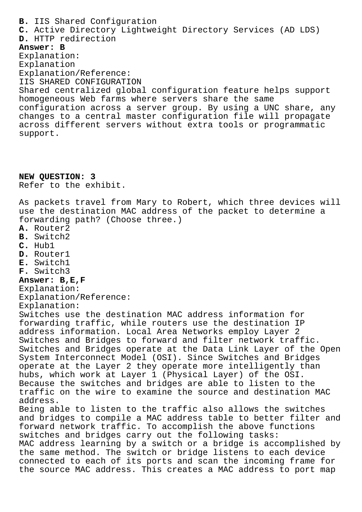**B.** IIS Shared Configuration **C.** Active Directory Lightweight Directory Services (AD LDS) **D.** HTTP redirection **Answer: B** Explanation: Explanation Explanation/Reference: IIS SHARED CONFIGURATION Shared centralized global configuration feature helps support homogeneous Web farms where servers share the same configuration across a server group. By using a UNC share, any changes to a central master configuration file will propagate across different servers without extra tools or programmatic support. **NEW QUESTION: 3** Refer to the exhibit. As packets travel from Mary to Robert, which three devices will use the destination MAC address of the packet to determine a forwarding path? (Choose three.) **A.** Router2 **B.** Switch2 **C.** Hub1 **D.** Router1 **E.** Switch1 **F.** Switch3 **Answer: B,E,F** Explanation: Explanation/Reference: Explanation: Switches use the destination MAC address information for forwarding traffic, while routers use the destination IP address information. Local Area Networks employ Layer 2 Switches and Bridges to forward and filter network traffic. Switches and Bridges operate at the Data Link Layer of the Open System Interconnect Model (OSI). Since Switches and Bridges operate at the Layer 2 they operate more intelligently than hubs, which work at Layer 1 (Physical Layer) of the OSI. Because the switches and bridges are able to listen to the traffic on the wire to examine the source and destination MAC address. Being able to listen to the traffic also allows the switches and bridges to compile a MAC address table to better filter and forward network traffic. To accomplish the above functions switches and bridges carry out the following tasks: MAC address learning by a switch or a bridge is accomplished by the same method. The switch or bridge listens to each device connected to each of its ports and scan the incoming frame for the source MAC address. This creates a MAC address to port map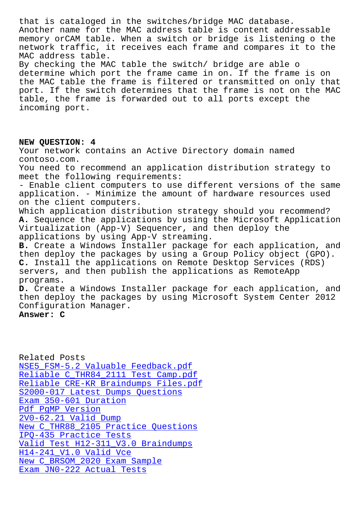Another name for the MAC address table is content addressable memory orCAM table. When a switch or bridge is listening o the network traffic, it receives each frame and compares it to the MAC address table. By checking the MAC table the switch/ bridge are able o determine which port the frame came in on. If the frame is on the MAC table the frame is filtered or transmitted on only that port. If the switch determines that the frame is not on the MAC table, the frame is forwarded out to all ports except the incoming port.

## **NEW QUESTION: 4**

Your network contains an Active Directory domain named contoso.com.

You need to recommend an application distribution strategy to meet the following requirements:

- Enable client computers to use different versions of the same application. - Minimize the amount of hardware resources used on the client computers.

Which application distribution strategy should you recommend? **A.** Sequence the applications by using the Microsoft Application Virtualization (App-V) Sequencer, and then deploy the applications by using App-V streaming.

**B.** Create a Windows Installer package for each application, and then deploy the packages by using a Group Policy object (GPO). **C.** Install the applications on Remote Desktop Services (RDS) servers, and then publish the applications as RemoteApp programs.

**D.** Create a Windows Installer package for each application, and then deploy the packages by using Microsoft System Center 2012 Configuration Manager.

## **Answer: C**

| Related Posts                        |
|--------------------------------------|
| NSE5 FSM-5.2 Valuable Feedback.pdf   |
| Reliable C THR84 2111 Test Camp.pdf  |
| Reliable CRE-KR Braindumps Files.pdf |
| S2000-017 Latest Dumps Questions     |
| Exam 350-601 Duration                |
| Pdf PqMP Version                     |
| 2V0-62.21 Valid Dump                 |
| New C THR88 2105 Practice Questions  |
| IPO-435 Practice Tests               |
| Valid Test H12-311 V3.0 Braindumps   |
| H14-241 V1.0 Valid Vce               |
| New C BRSOM 2020 Exam Sample         |
| Exam JN0-222 Actual Tests            |